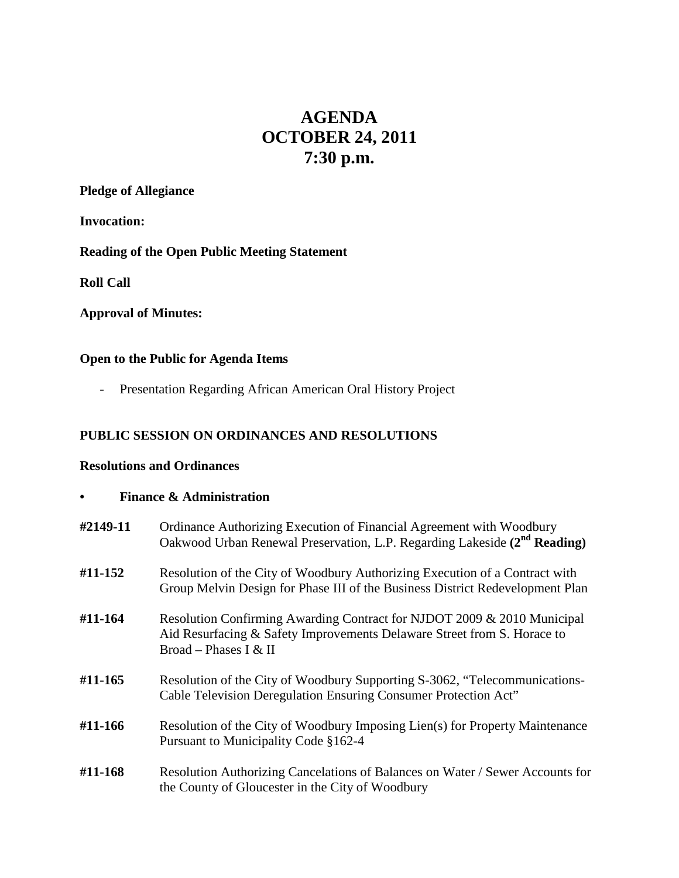# **AGENDA OCTOBER 24, 2011 7:30 p.m.**

## **Pledge of Allegiance**

**Invocation:**

## **Reading of the Open Public Meeting Statement**

**Roll Call**

## **Approval of Minutes:**

### **Open to the Public for Agenda Items**

- Presentation Regarding African American Oral History Project

### **PUBLIC SESSION ON ORDINANCES AND RESOLUTIONS**

#### **Resolutions and Ordinances**

| <b>Finance &amp; Administration</b> |                                                                                                                                                                             |
|-------------------------------------|-----------------------------------------------------------------------------------------------------------------------------------------------------------------------------|
| #2149-11                            | Ordinance Authorizing Execution of Financial Agreement with Woodbury<br>Oakwood Urban Renewal Preservation, L.P. Regarding Lakeside (2 <sup>nd</sup> Reading)               |
| #11-152                             | Resolution of the City of Woodbury Authorizing Execution of a Contract with<br>Group Melvin Design for Phase III of the Business District Redevelopment Plan                |
| #11-164                             | Resolution Confirming Awarding Contract for NJDOT 2009 & 2010 Municipal<br>Aid Resurfacing & Safety Improvements Delaware Street from S. Horace to<br>Broad – Phases I & II |
| #11-165                             | Resolution of the City of Woodbury Supporting S-3062, "Telecommunications-<br>Cable Television Deregulation Ensuring Consumer Protection Act"                               |
| #11-166                             | Resolution of the City of Woodbury Imposing Lien(s) for Property Maintenance<br>Pursuant to Municipality Code §162-4                                                        |
| #11-168                             | Resolution Authorizing Cancelations of Balances on Water / Sewer Accounts for<br>the County of Gloucester in the City of Woodbury                                           |